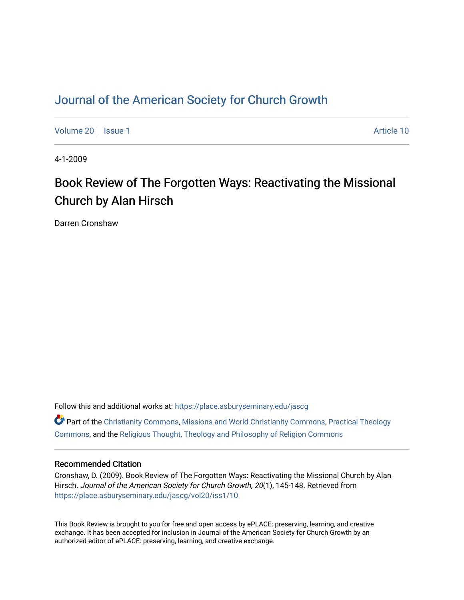## [Journal of the American Society for Church Growth](https://place.asburyseminary.edu/jascg)

[Volume 20](https://place.asburyseminary.edu/jascg/vol20) | [Issue 1](https://place.asburyseminary.edu/jascg/vol20/iss1) Article 10

4-1-2009

# Book Review of The Forgotten Ways: Reactivating the Missional Church by Alan Hirsch

Darren Cronshaw

Follow this and additional works at: [https://place.asburyseminary.edu/jascg](https://place.asburyseminary.edu/jascg?utm_source=place.asburyseminary.edu%2Fjascg%2Fvol20%2Fiss1%2F10&utm_medium=PDF&utm_campaign=PDFCoverPages)

**C** Part of the [Christianity Commons,](https://network.bepress.com/hgg/discipline/1181?utm_source=place.asburyseminary.edu%2Fjascg%2Fvol20%2Fiss1%2F10&utm_medium=PDF&utm_campaign=PDFCoverPages) [Missions and World Christianity Commons](https://network.bepress.com/hgg/discipline/1187?utm_source=place.asburyseminary.edu%2Fjascg%2Fvol20%2Fiss1%2F10&utm_medium=PDF&utm_campaign=PDFCoverPages), Practical Theology [Commons](https://network.bepress.com/hgg/discipline/1186?utm_source=place.asburyseminary.edu%2Fjascg%2Fvol20%2Fiss1%2F10&utm_medium=PDF&utm_campaign=PDFCoverPages), and the [Religious Thought, Theology and Philosophy of Religion Commons](https://network.bepress.com/hgg/discipline/544?utm_source=place.asburyseminary.edu%2Fjascg%2Fvol20%2Fiss1%2F10&utm_medium=PDF&utm_campaign=PDFCoverPages) 

#### Recommended Citation

Cronshaw, D. (2009). Book Review of The Forgotten Ways: Reactivating the Missional Church by Alan Hirsch. Journal of the American Society for Church Growth, 20(1), 145-148. Retrieved from [https://place.asburyseminary.edu/jascg/vol20/iss1/10](https://place.asburyseminary.edu/jascg/vol20/iss1/10?utm_source=place.asburyseminary.edu%2Fjascg%2Fvol20%2Fiss1%2F10&utm_medium=PDF&utm_campaign=PDFCoverPages)

This Book Review is brought to you for free and open access by ePLACE: preserving, learning, and creative exchange. It has been accepted for inclusion in Journal of the American Society for Church Growth by an authorized editor of ePLACE: preserving, learning, and creative exchange.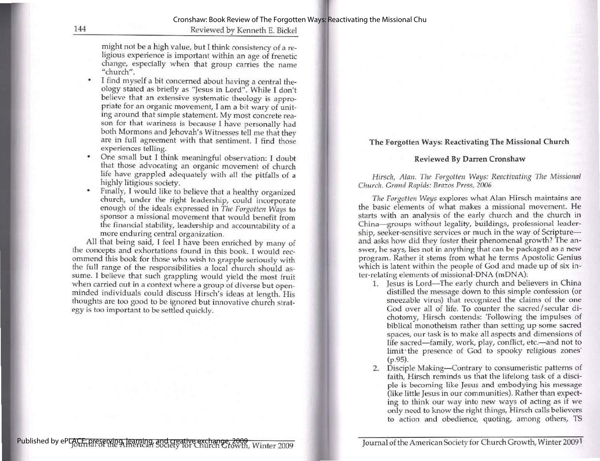144 Reviewed by Kenneth E. Bickel

might not be a high value, but I think consistency of a re- ligious experience is important within an age of frenetic change, especially when that group carries the name "church".

- I find myself a bit concerned about having a central theology stated as briefly as "Jesus in Lord". While I don't<br>believe that an extensive systematic theology is appro-<br>priate for an organic movement, I am a bit wary of unit-<br>ing around that simple statement. My most concrete
- One small but I think meaningful observation: I doubt
- 

• One small but I think meaningful observation: I doubt<br>that those advocating an organic movement of church<br>life have grappled adequately with all the pitfalls of a<br>highly litigious society.<br>Finally, I would like to believ

#### The Forgotten Ways: Reactivating The Missional Church

#### Reviewed By Darren Cronshaw

Hirsch, Alan. The Forgotten Ways: Reactivating The Missional Church. Grand Rapids: Brazos Press, 2006

The Forgotten Ways explores what Alan Hirsch maintains are the basic elements of what makes a missional movement. He starts with an analysis of the early church and the church in China—groups without legality, buildings, professional leadership, seeker-sensitive services or much in the way of Scripture and asks how did they foster their phenomenal growth? The an-<br>swer, he says, lies not in anything that can be packaged as a new program. Rather it stems from what he terms Apostolic Genius which is latent within the people of God and made up of six inwhich is latent within the people of God and made up of six inter-relating elements of missional-DNA (mDNA):

- 1. Jesus is Lord—The early church and believers in China distilled the message down to this simple confession (or sneezable virus) that recognized the claims of the one God over all of life. To counter the sacred/secular dichotomy, Hirsch contends: 'Following the impulses of biblical monotheism rather than setting up some sacred spaces, our task is to make all aspects and dimensions of life sacred—family, work, play, conflict, etc—and not to limit the presence of God to spooky religious zones<br>(p.95).
- 2. Disciple Making—Contrary to consumeristic patterns of faith. Hirsch reminds us that the lifelong task of a discifaith, Hirsch reminds us that the lifelong task of a disci-<br>ple is becoming like Jesus and embodying his message (like little Jesus in our communities). Rather than expecting to think our way into new ways of acting as if we only need to know the right things, Hirsch calls believers to action and obedience, quoting, among others, TS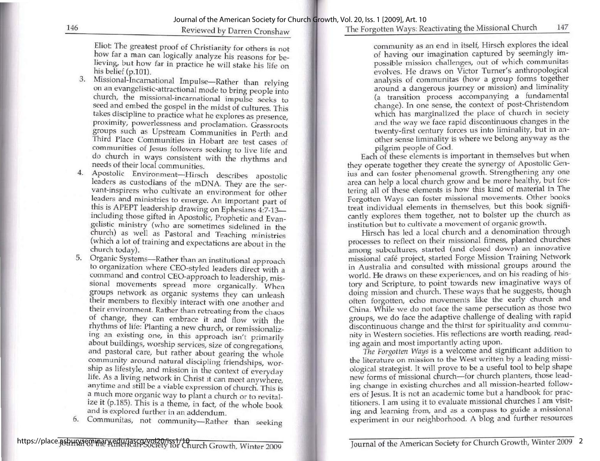### The Forgotten Ways: Reactivating the Missional Church 147

Eliot: The greatest proof of Christianity for others is not how far a man can logically analyze his reasons for be-<br>lieving, but how far in practice he will stake his life on his belief  $(p.101)$ .

- 3. Missional-Incarnational Impulse—Rather than relying<br>on an evangelistic-attractional mode to bring people into<br>church, the missional-incarnational impulse seeks to<br>seed and embed the gospel in the midst of cultures. This
- 
- 5. Organic Systems—Rather than an institutional approach to organization where CEO-styled leaders direct with a command and control CEO-approach to leadership, missional movements spread more organically. When groups netw
- 6. Communitas, not community—Rather than seeking

community as an end in itself, Hirsch explores the ideal of having our imagination captured by seemingly impossible mission challenges, out of which communitas evolves. He draws on Victor Turner's anthropological analysis of communitas (how a group forms together around a dangerous journey or mission) and liminality (a transition process accompanying a fundamental change). In one sense, the context of post-Christendom which has marginalized the place of church in society and the way we face rapid discontinuous changes in the twenty-first century forces us into liminality, but in an- other sense liminality is where we belong anyway as the other sense liminality is where we belong anyway as the pilgrim people of God.

Each of these elements is important in themselves but when they operate together they create the synergy of Apostolic Genius and can foster phenomenal growth. Strengthening any one area can help a local church grow and be more healthy, but fostering all of these elements is how this kind of material in The Forgotten Ways can foster missional movements. Other books treat individual elements in themselves, but this book significantly explores them together, not to bolster up the church as

institution but to cultivate a movement of organic growth. Hirsch has led a local church and a denomination through processes to reflect on their missional fitness, planted churches among, subcultures, started (and closed down) an innovative missional café project, started Forge Mission Training Network in Australia and consulted with missional groups around the world. He draws on these experiences, and on his reading of hisworld. He draws on these experiences, and on his reading of history and Scripture, to point towards new imaginative ways of doing mission and church. These ways that he suggests, though often forgotten, echo movements like nity in Western societies. His reflections are worth reading, reading again and most importantly acting upon.

again and most importantly acting applies.<br>The Forgotten Ways is a welcome and significant addition to the literature on mission to the West written by a leading missi-<br>ological strategist. It will prove to be a useful tool to help shape new forms of missional church—for church planters, those leading change in existing churches and all mission-hearted followers of Jesus. It is not an academic tome but a handbook for prac- titioners. I am using it to evaluate missional churches I am visiting and learning from, and as a compass to guide a missional experiment in our neighborhood. A blog and further resources